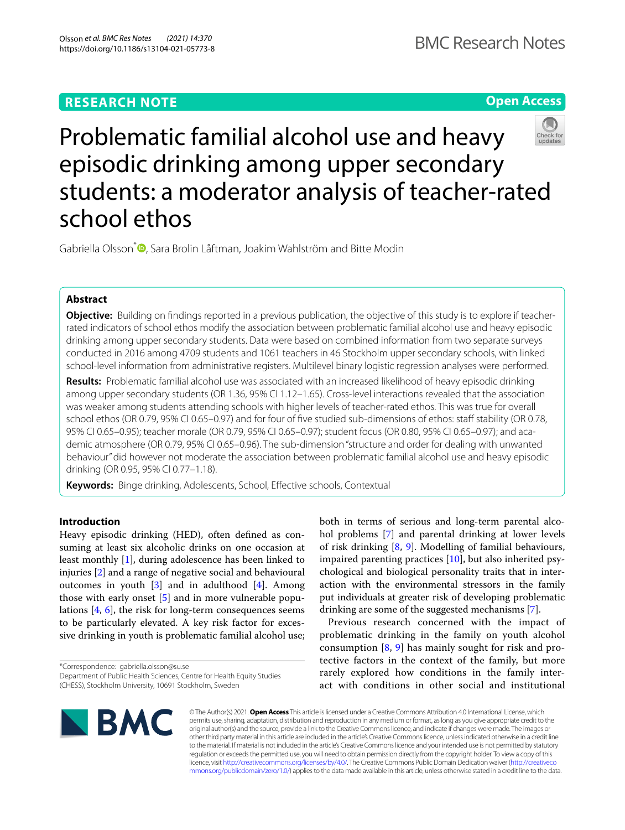## **RESEARCH NOTE**

**Open Access**



# Problematic familial alcohol use and heavy episodic drinking among upper secondary students: a moderator analysis of teacher-rated school ethos

Gabriella Olsson<sup>\*</sup><sup>®</sup>[,](http://orcid.org/0000-0002-2579-8798) Sara Brolin Låftman, Joakim Wahlström and Bitte Modin

## **Abstract**

**Objective:** Building on fndings reported in a previous publication, the objective of this study is to explore if teacherrated indicators of school ethos modify the association between problematic familial alcohol use and heavy episodic drinking among upper secondary students. Data were based on combined information from two separate surveys conducted in 2016 among 4709 students and 1061 teachers in 46 Stockholm upper secondary schools, with linked school-level information from administrative registers. Multilevel binary logistic regression analyses were performed.

**Results:** Problematic familial alcohol use was associated with an increased likelihood of heavy episodic drinking among upper secondary students (OR 1.36, 95% CI 1.12–1.65). Cross-level interactions revealed that the association was weaker among students attending schools with higher levels of teacher-rated ethos. This was true for overall school ethos (OR 0.79, 95% CI 0.65–0.97) and for four of five studied sub-dimensions of ethos: staff stability (OR 0.78, 95% CI 0.65–0.95); teacher morale (OR 0.79, 95% CI 0.65–0.97); student focus (OR 0.80, 95% CI 0.65–0.97); and academic atmosphere (OR 0.79, 95% CI 0.65–0.96). The sub-dimension "structure and order for dealing with unwanted behaviour" did however not moderate the association between problematic familial alcohol use and heavy episodic drinking (OR 0.95, 95% CI 0.77–1.18).

**Keywords:** Binge drinking, Adolescents, School, Efective schools, Contextual

## **Introduction**

Heavy episodic drinking (HED), often defned as consuming at least six alcoholic drinks on one occasion at least monthly [[1\]](#page-5-0), during adolescence has been linked to injuries [[2\]](#page-5-1) and a range of negative social and behavioural outcomes in youth [[3\]](#page-5-2) and in adulthood [\[4](#page-5-3)]. Among those with early onset [[5](#page-5-4)] and in more vulnerable populations [[4,](#page-5-3) [6\]](#page-5-5), the risk for long-term consequences seems to be particularly elevated. A key risk factor for excessive drinking in youth is problematic familial alcohol use;

\*Correspondence: gabriella.olsson@su.se

both in terms of serious and long-term parental alcohol problems [[7\]](#page-5-6) and parental drinking at lower levels of risk drinking [\[8](#page-5-7), [9\]](#page-6-0). Modelling of familial behaviours, impaired parenting practices  $[10]$  $[10]$ , but also inherited psychological and biological personality traits that in interaction with the environmental stressors in the family put individuals at greater risk of developing problematic drinking are some of the suggested mechanisms [\[7](#page-5-6)].

Previous research concerned with the impact of problematic drinking in the family on youth alcohol consumption [\[8,](#page-5-7) [9\]](#page-6-0) has mainly sought for risk and protective factors in the context of the family, but more rarely explored how conditions in the family interact with conditions in other social and institutional



© The Author(s) 2021. **Open Access** This article is licensed under a Creative Commons Attribution 4.0 International License, which permits use, sharing, adaptation, distribution and reproduction in any medium or format, as long as you give appropriate credit to the original author(s) and the source, provide a link to the Creative Commons licence, and indicate if changes were made. The images or other third party material in this article are included in the article's Creative Commons licence, unless indicated otherwise in a credit line to the material. If material is not included in the article's Creative Commons licence and your intended use is not permitted by statutory regulation or exceeds the permitted use, you will need to obtain permission directly from the copyright holder. To view a copy of this licence, visit [http://creativecommons.org/licenses/by/4.0/.](http://creativecommons.org/licenses/by/4.0/) The Creative Commons Public Domain Dedication waiver ([http://creativeco](http://creativecommons.org/publicdomain/zero/1.0/) [mmons.org/publicdomain/zero/1.0/](http://creativecommons.org/publicdomain/zero/1.0/)) applies to the data made available in this article, unless otherwise stated in a credit line to the data.

Department of Public Health Sciences, Centre for Health Equity Studies (CHESS), Stockholm University, 10691 Stockholm, Sweden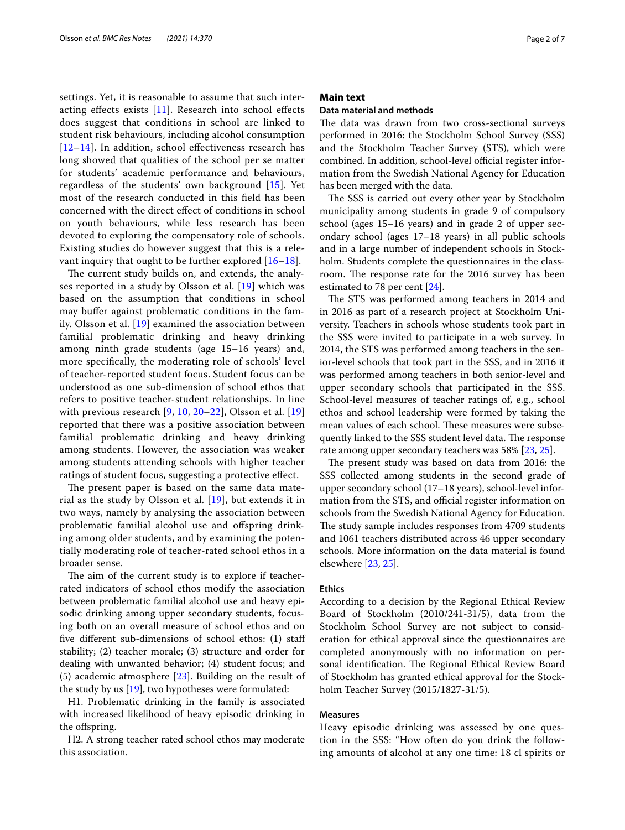settings. Yet, it is reasonable to assume that such interacting efects exists [[11](#page-6-2)]. Research into school efects does suggest that conditions in school are linked to student risk behaviours, including alcohol consumption  $[12–14]$  $[12–14]$  $[12–14]$  $[12–14]$ . In addition, school effectiveness research has long showed that qualities of the school per se matter for students' academic performance and behaviours, regardless of the students' own background [[15](#page-6-5)]. Yet most of the research conducted in this feld has been concerned with the direct efect of conditions in school on youth behaviours, while less research has been devoted to exploring the compensatory role of schools. Existing studies do however suggest that this is a relevant inquiry that ought to be further explored [\[16](#page-6-6)[–18\]](#page-6-7).

The current study builds on, and extends, the analyses reported in a study by Olsson et al. [[19\]](#page-6-8) which was based on the assumption that conditions in school may bufer against problematic conditions in the family. Olsson et al. [[19\]](#page-6-8) examined the association between familial problematic drinking and heavy drinking among ninth grade students (age 15–16 years) and, more specifcally, the moderating role of schools' level of teacher-reported student focus. Student focus can be understood as one sub-dimension of school ethos that refers to positive teacher-student relationships. In line with previous research [[9,](#page-6-0) [10](#page-6-1), [20](#page-6-9)[–22](#page-6-10)], Olsson et al. [\[19](#page-6-8)] reported that there was a positive association between familial problematic drinking and heavy drinking among students. However, the association was weaker among students attending schools with higher teacher ratings of student focus, suggesting a protective efect.

The present paper is based on the same data material as the study by Olsson et al. [\[19](#page-6-8)], but extends it in two ways, namely by analysing the association between problematic familial alcohol use and ofspring drinking among older students, and by examining the potentially moderating role of teacher-rated school ethos in a broader sense.

The aim of the current study is to explore if teacherrated indicators of school ethos modify the association between problematic familial alcohol use and heavy episodic drinking among upper secondary students, focusing both on an overall measure of school ethos and on fve diferent sub-dimensions of school ethos: (1) staf stability; (2) teacher morale; (3) structure and order for dealing with unwanted behavior; (4) student focus; and (5) academic atmosphere  $[23]$  $[23]$ . Building on the result of the study by us [\[19\]](#page-6-8), two hypotheses were formulated:

H1. Problematic drinking in the family is associated with increased likelihood of heavy episodic drinking in the ofspring.

H2. A strong teacher rated school ethos may moderate this association.

## **Main text**

## **Data material and methods**

The data was drawn from two cross-sectional surveys performed in 2016: the Stockholm School Survey (SSS) and the Stockholm Teacher Survey (STS), which were combined. In addition, school-level official register information from the Swedish National Agency for Education has been merged with the data.

The SSS is carried out every other year by Stockholm municipality among students in grade 9 of compulsory school (ages 15–16 years) and in grade 2 of upper secondary school (ages 17–18 years) in all public schools and in a large number of independent schools in Stockholm. Students complete the questionnaires in the classroom. The response rate for the 2016 survey has been estimated to 78 per cent [[24](#page-6-12)].

The STS was performed among teachers in 2014 and in 2016 as part of a research project at Stockholm University. Teachers in schools whose students took part in the SSS were invited to participate in a web survey. In 2014, the STS was performed among teachers in the senior-level schools that took part in the SSS, and in 2016 it was performed among teachers in both senior-level and upper secondary schools that participated in the SSS. School-level measures of teacher ratings of, e.g., school ethos and school leadership were formed by taking the mean values of each school. These measures were subsequently linked to the SSS student level data. The response rate among upper secondary teachers was 58% [[23,](#page-6-11) [25](#page-6-13)].

The present study was based on data from 2016: the SSS collected among students in the second grade of upper secondary school (17–18 years), school-level information from the STS, and official register information on schools from the Swedish National Agency for Education. The study sample includes responses from 4709 students and 1061 teachers distributed across 46 upper secondary schools. More information on the data material is found elsewhere [[23](#page-6-11), [25\]](#page-6-13).

#### **Ethics**

According to a decision by the Regional Ethical Review Board of Stockholm (2010/241-31/5), data from the Stockholm School Survey are not subject to consideration for ethical approval since the questionnaires are completed anonymously with no information on personal identification. The Regional Ethical Review Board of Stockholm has granted ethical approval for the Stockholm Teacher Survey (2015/1827-31/5).

#### **Measures**

Heavy episodic drinking was assessed by one question in the SSS: "How often do you drink the following amounts of alcohol at any one time: 18 cl spirits or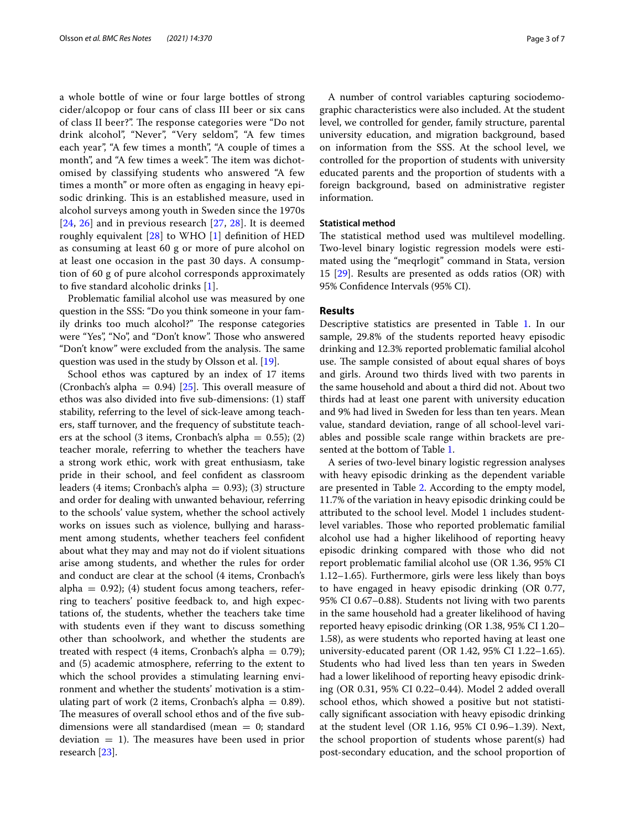a whole bottle of wine or four large bottles of strong cider/alcopop or four cans of class III beer or six cans of class II beer?". The response categories were "Do not drink alcohol", "Never", "Very seldom", "A few times each year", "A few times a month", "A couple of times a month", and "A few times a week". The item was dichotomised by classifying students who answered "A few times a month" or more often as engaging in heavy episodic drinking. This is an established measure, used in alcohol surveys among youth in Sweden since the 1970s [[24](#page-6-12), [26\]](#page-6-14) and in previous research [[27,](#page-6-15) [28](#page-6-16)]. It is deemed roughly equivalent  $[28]$  to WHO  $[1]$  $[1]$  definition of HED as consuming at least 60 g or more of pure alcohol on at least one occasion in the past 30 days. A consumption of 60 g of pure alcohol corresponds approximately to fve standard alcoholic drinks [\[1](#page-5-0)].

Problematic familial alcohol use was measured by one question in the SSS: "Do you think someone in your family drinks too much alcohol?" The response categories were "Yes", "No", and "Don't know". Those who answered "Don't know" were excluded from the analysis. The same question was used in the study by Olsson et al. [\[19](#page-6-8)].

School ethos was captured by an index of 17 items (Cronbach's alpha = 0.94) [\[25](#page-6-13)]. This overall measure of ethos was also divided into fve sub-dimensions: (1) staf stability, referring to the level of sick-leave among teachers, staff turnover, and the frequency of substitute teachers at the school (3 items, Cronbach's alpha =  $0.55$ ); (2) teacher morale, referring to whether the teachers have a strong work ethic, work with great enthusiasm, take pride in their school, and feel confdent as classroom leaders (4 items; Cronbach's alpha =  $0.93$ ); (3) structure and order for dealing with unwanted behaviour, referring to the schools' value system, whether the school actively works on issues such as violence, bullying and harassment among students, whether teachers feel confdent about what they may and may not do if violent situations arise among students, and whether the rules for order and conduct are clear at the school (4 items, Cronbach's alpha =  $(0.92)$ ; (4) student focus among teachers, referring to teachers' positive feedback to, and high expectations of, the students, whether the teachers take time with students even if they want to discuss something other than schoolwork, and whether the students are treated with respect (4 items, Cronbach's alpha =  $0.79$ ); and (5) academic atmosphere, referring to the extent to which the school provides a stimulating learning environment and whether the students' motivation is a stimulating part of work (2 items, Cronbach's alpha  $= 0.89$ ). The measures of overall school ethos and of the five subdimensions were all standardised (mean  $= 0$ ; standard deviation  $= 1$ ). The measures have been used in prior research [[23\]](#page-6-11).

A number of control variables capturing sociodemographic characteristics were also included. At the student level, we controlled for gender, family structure, parental university education, and migration background, based on information from the SSS. At the school level, we controlled for the proportion of students with university educated parents and the proportion of students with a foreign background, based on administrative register information.

## **Statistical method**

The statistical method used was multilevel modelling. Two-level binary logistic regression models were estimated using the "meqrlogit" command in Stata, version 15 [[29](#page-6-17)]. Results are presented as odds ratios (OR) with 95% Confdence Intervals (95% CI).

### **Results**

Descriptive statistics are presented in Table [1.](#page-3-0) In our sample, 29.8% of the students reported heavy episodic drinking and 12.3% reported problematic familial alcohol use. The sample consisted of about equal shares of boys and girls. Around two thirds lived with two parents in the same household and about a third did not. About two thirds had at least one parent with university education and 9% had lived in Sweden for less than ten years. Mean value, standard deviation, range of all school-level variables and possible scale range within brackets are presented at the bottom of Table [1](#page-3-0).

A series of two-level binary logistic regression analyses with heavy episodic drinking as the dependent variable are presented in Table [2](#page-4-0). According to the empty model, 11.7% of the variation in heavy episodic drinking could be attributed to the school level. Model 1 includes studentlevel variables. Those who reported problematic familial alcohol use had a higher likelihood of reporting heavy episodic drinking compared with those who did not report problematic familial alcohol use (OR 1.36, 95% CI 1.12–1.65). Furthermore, girls were less likely than boys to have engaged in heavy episodic drinking (OR 0.77, 95% CI 0.67–0.88). Students not living with two parents in the same household had a greater likelihood of having reported heavy episodic drinking (OR 1.38, 95% CI 1.20– 1.58), as were students who reported having at least one university-educated parent (OR 1.42, 95% CI 1.22–1.65). Students who had lived less than ten years in Sweden had a lower likelihood of reporting heavy episodic drinking (OR 0.31, 95% CI 0.22–0.44). Model 2 added overall school ethos, which showed a positive but not statistically signifcant association with heavy episodic drinking at the student level (OR 1.16, 95% CI 0.96–1.39). Next, the school proportion of students whose parent(s) had post-secondary education, and the school proportion of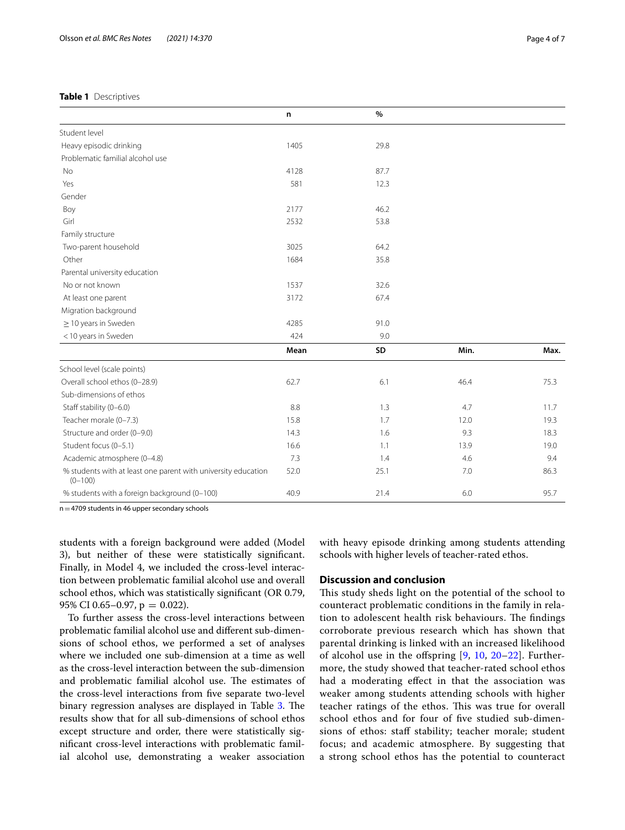## <span id="page-3-0"></span>**Table 1** Descriptives

|                                                                              | n    | $\%$ |      |      |
|------------------------------------------------------------------------------|------|------|------|------|
| Student level                                                                |      |      |      |      |
| Heavy episodic drinking                                                      | 1405 | 29.8 |      |      |
| Problematic familial alcohol use                                             |      |      |      |      |
| No                                                                           | 4128 | 87.7 |      |      |
| Yes                                                                          | 581  | 12.3 |      |      |
| Gender                                                                       |      |      |      |      |
| Boy                                                                          | 2177 | 46.2 |      |      |
| Girl                                                                         | 2532 | 53.8 |      |      |
| Family structure                                                             |      |      |      |      |
| Two-parent household                                                         | 3025 | 64.2 |      |      |
| Other                                                                        | 1684 | 35.8 |      |      |
| Parental university education                                                |      |      |      |      |
| No or not known                                                              | 1537 | 32.6 |      |      |
| At least one parent                                                          | 3172 | 67.4 |      |      |
| Migration background                                                         |      |      |      |      |
| $\geq$ 10 years in Sweden                                                    | 4285 | 91.0 |      |      |
| <10 years in Sweden                                                          | 424  | 9.0  |      |      |
|                                                                              | Mean | SD   | Min. | Max. |
| School level (scale points)                                                  |      |      |      |      |
| Overall school ethos (0-28.9)                                                | 62.7 | 6.1  | 46.4 | 75.3 |
| Sub-dimensions of ethos                                                      |      |      |      |      |
| Staff stability (0-6.0)                                                      | 8.8  | 1.3  | 4.7  | 11.7 |
| Teacher morale (0-7.3)                                                       | 15.8 | 1.7  | 12.0 | 19.3 |
| Structure and order (0-9.0)                                                  | 14.3 | 1.6  | 9.3  | 18.3 |
| Student focus (0-5.1)                                                        | 16.6 | 1.1  | 13.9 | 19.0 |
| Academic atmosphere (0-4.8)                                                  | 7.3  | 1.4  | 4.6  | 9.4  |
| % students with at least one parent with university education<br>$(0 - 100)$ | 52.0 | 25.1 | 7.0  | 86.3 |
| % students with a foreign background (0-100)                                 | 40.9 | 21.4 | 6.0  | 95.7 |

n=4709 students in 46 upper secondary schools

students with a foreign background were added (Model 3), but neither of these were statistically signifcant. Finally, in Model 4, we included the cross-level interaction between problematic familial alcohol use and overall school ethos, which was statistically signifcant (OR 0.79, 95% CI 0.65-0.97,  $p = 0.022$ ).

To further assess the cross-level interactions between problematic familial alcohol use and diferent sub-dimensions of school ethos, we performed a set of analyses where we included one sub-dimension at a time as well as the cross-level interaction between the sub-dimension and problematic familial alcohol use. The estimates of the cross-level interactions from fve separate two-level binary regression analyses are displayed in Table [3](#page-4-1). The results show that for all sub-dimensions of school ethos except structure and order, there were statistically signifcant cross-level interactions with problematic familial alcohol use, demonstrating a weaker association with heavy episode drinking among students attending schools with higher levels of teacher-rated ethos.

## **Discussion and conclusion**

This study sheds light on the potential of the school to counteract problematic conditions in the family in relation to adolescent health risk behaviours. The findings corroborate previous research which has shown that parental drinking is linked with an increased likelihood of alcohol use in the offspring  $[9, 10, 20-22]$  $[9, 10, 20-22]$  $[9, 10, 20-22]$  $[9, 10, 20-22]$  $[9, 10, 20-22]$  $[9, 10, 20-22]$ . Furthermore, the study showed that teacher-rated school ethos had a moderating efect in that the association was weaker among students attending schools with higher teacher ratings of the ethos. This was true for overall school ethos and for four of fve studied sub-dimensions of ethos: staff stability; teacher morale; student focus; and academic atmosphere. By suggesting that a strong school ethos has the potential to counteract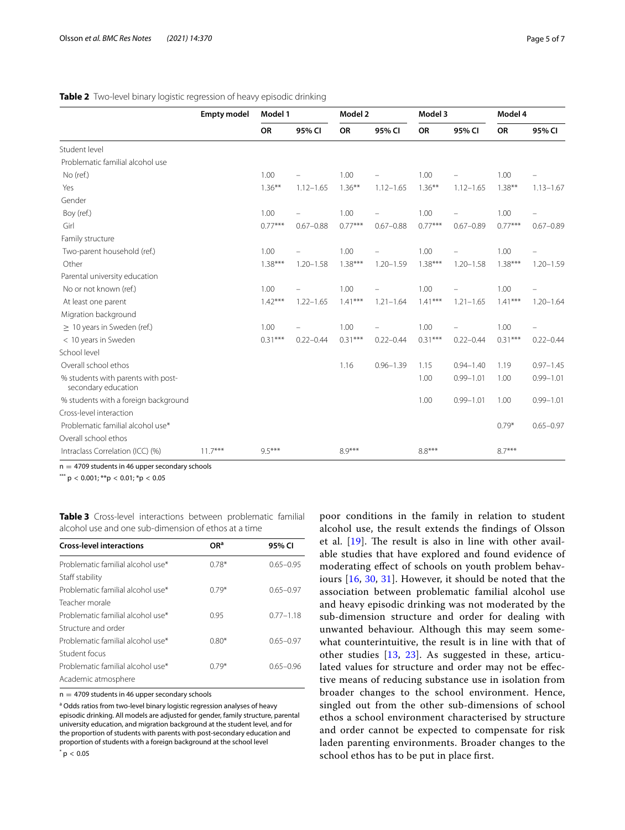## <span id="page-4-0"></span>**Table 2** Two-level binary logistic regression of heavy episodic drinking

|                                                           | <b>Empty model</b> | Model 1   |               | Model 2   |               | Model 3   |               | Model 4   |               |
|-----------------------------------------------------------|--------------------|-----------|---------------|-----------|---------------|-----------|---------------|-----------|---------------|
|                                                           |                    | <b>OR</b> | 95% CI        | <b>OR</b> | 95% CI        | <b>OR</b> | 95% CI        | <b>OR</b> | 95% CI        |
| Student level                                             |                    |           |               |           |               |           |               |           |               |
| Problematic familial alcohol use                          |                    |           |               |           |               |           |               |           |               |
| No (ref.)                                                 |                    | 1.00      |               | 1.00      |               | 1.00      |               | 1.00      |               |
| Yes                                                       |                    | $1.36***$ | $1.12 - 1.65$ | $1.36***$ | $1.12 - 1.65$ | $1.36***$ | $1.12 - 1.65$ | $1.38***$ | $1.13 - 1.67$ |
| Gender                                                    |                    |           |               |           |               |           |               |           |               |
| Boy (ref.)                                                |                    | 1.00      |               | 1.00      |               | 1.00      |               | 1.00      |               |
| Girl                                                      |                    | $0.77***$ | $0.67 - 0.88$ | $0.77***$ | $0.67 - 0.88$ | $0.77***$ | $0.67 - 0.89$ | $0.77***$ | $0.67 - 0.89$ |
| Family structure                                          |                    |           |               |           |               |           |               |           |               |
| Two-parent household (ref.)                               |                    | 1.00      |               | 1.00      |               | 1.00      |               | 1.00      |               |
| Other                                                     |                    | $1.38***$ | $1.20 - 1.58$ | $1.38***$ | $1.20 - 1.59$ | $1.38***$ | $1.20 - 1.58$ | $1.38***$ | $1.20 - 1.59$ |
| Parental university education                             |                    |           |               |           |               |           |               |           |               |
| No or not known (ref.)                                    |                    | 1.00      |               | 1.00      |               | 1.00      |               | 1.00      |               |
| At least one parent                                       |                    | $1.42***$ | $1.22 - 1.65$ | $1.41***$ | $1.21 - 1.64$ | $1.41***$ | $1.21 - 1.65$ | $1.41***$ | $1.20 - 1.64$ |
| Migration background                                      |                    |           |               |           |               |           |               |           |               |
| $\geq 10$ years in Sweden (ref.)                          |                    | 1.00      |               | 1.00      |               | 1.00      |               | 1.00      |               |
| < 10 years in Sweden                                      |                    | $0.31***$ | $0.22 - 0.44$ | $0.31***$ | $0.22 - 0.44$ | $0.31***$ | $0.22 - 0.44$ | $0.31***$ | $0.22 - 0.44$ |
| School level                                              |                    |           |               |           |               |           |               |           |               |
| Overall school ethos                                      |                    |           |               | 1.16      | $0.96 - 1.39$ | 1.15      | $0.94 - 1.40$ | 1.19      | $0.97 - 1.45$ |
| % students with parents with post-<br>secondary education |                    |           |               |           |               | 1.00      | $0.99 - 1.01$ | 1.00      | $0.99 - 1.01$ |
| % students with a foreign background                      |                    |           |               |           |               | 1.00      | $0.99 - 1.01$ | 1.00      | $0.99 - 1.01$ |
| Cross-level interaction                                   |                    |           |               |           |               |           |               |           |               |
| Problematic familial alcohol use*                         |                    |           |               |           |               |           |               | $0.79*$   | $0.65 - 0.97$ |
| Overall school ethos                                      |                    |           |               |           |               |           |               |           |               |
| Intraclass Correlation (ICC) (%)                          | $11.7***$          | $9.5***$  |               | $8.9***$  |               | $8.8***$  |               | $8.7***$  |               |

 $n = 4709$  students in 46 upper secondary schools

\*\*\*  $p < 0.001$ ; \*\* $p < 0.01$ ; \* $p < 0.05$ 

<span id="page-4-1"></span>**Table 3** Cross-level interactions between problematic familial alcohol use and one sub-dimension of ethos at a time

| <b>Cross-level interactions</b>   | OR <sup>a</sup> | 95% CI        |
|-----------------------------------|-----------------|---------------|
| Problematic familial alcohol use* | $0.78*$         | $0.65 - 0.95$ |
| Staff stability                   |                 |               |
| Problematic familial alcohol use* | $0.79*$         | $0.65 - 0.97$ |
| Teacher morale                    |                 |               |
| Problematic familial alcohol use* | 0.95            | $0.77 - 1.18$ |
| Structure and order               |                 |               |
| Problematic familial alcohol use* | $0.80*$         | $0.65 - 0.97$ |
| Student focus                     |                 |               |
| Problematic familial alcohol use* | $0.79*$         | $0.65 - 0.96$ |
| Academic atmosphere               |                 |               |
|                                   |                 |               |

 $n = 4709$  students in 46 upper secondary schools

<sup>a</sup> Odds ratios from two-level binary logistic regression analyses of heavy episodic drinking. All models are adjusted for gender, family structure, parental university education, and migration background at the student level, and for the proportion of students with parents with post-secondary education and proportion of students with a foreign background at the school level

poor conditions in the family in relation to student alcohol use, the result extends the fndings of Olsson et al.  $[19]$  $[19]$  $[19]$ . The result is also in line with other available studies that have explored and found evidence of moderating efect of schools on youth problem behaviours [\[16](#page-6-6), [30,](#page-6-18) [31](#page-6-19)]. However, it should be noted that the association between problematic familial alcohol use and heavy episodic drinking was not moderated by the sub-dimension structure and order for dealing with unwanted behaviour. Although this may seem somewhat counterintuitive, the result is in line with that of other studies [\[13](#page-6-20), [23](#page-6-11)]. As suggested in these, articulated values for structure and order may not be efective means of reducing substance use in isolation from broader changes to the school environment. Hence, singled out from the other sub-dimensions of school ethos a school environment characterised by structure and order cannot be expected to compensate for risk laden parenting environments. Broader changes to the school ethos has to be put in place frst.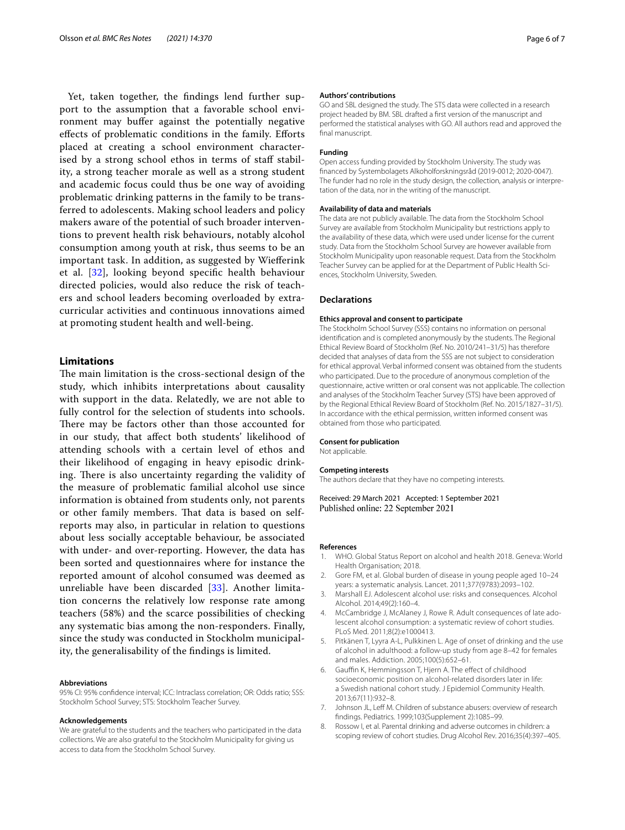Yet, taken together, the fndings lend further support to the assumption that a favorable school environment may bufer against the potentially negative efects of problematic conditions in the family. Eforts placed at creating a school environment characterised by a strong school ethos in terms of staff stability, a strong teacher morale as well as a strong student and academic focus could thus be one way of avoiding problematic drinking patterns in the family to be transferred to adolescents. Making school leaders and policy makers aware of the potential of such broader interventions to prevent health risk behaviours, notably alcohol consumption among youth at risk, thus seems to be an important task. In addition, as suggested by Wieferink et al. [\[32\]](#page-6-21), looking beyond specifc health behaviour directed policies, would also reduce the risk of teachers and school leaders becoming overloaded by extracurricular activities and continuous innovations aimed at promoting student health and well-being.

## **Limitations**

The main limitation is the cross-sectional design of the study, which inhibits interpretations about causality with support in the data. Relatedly, we are not able to fully control for the selection of students into schools. There may be factors other than those accounted for in our study, that afect both students' likelihood of attending schools with a certain level of ethos and their likelihood of engaging in heavy episodic drinking. There is also uncertainty regarding the validity of the measure of problematic familial alcohol use since information is obtained from students only, not parents or other family members. That data is based on selfreports may also, in particular in relation to questions about less socially acceptable behaviour, be associated with under- and over-reporting. However, the data has been sorted and questionnaires where for instance the reported amount of alcohol consumed was deemed as unreliable have been discarded [[33\]](#page-6-22). Another limitation concerns the relatively low response rate among teachers (58%) and the scarce possibilities of checking any systematic bias among the non-responders. Finally, since the study was conducted in Stockholm municipality, the generalisability of the fndings is limited.

#### **Abbreviations**

95% CI: 95% confdence interval; ICC: Intraclass correlation; OR: Odds ratio; SSS: Stockholm School Survey; STS: Stockholm Teacher Survey.

#### **Acknowledgements**

We are grateful to the students and the teachers who participated in the data collections. We are also grateful to the Stockholm Municipality for giving us access to data from the Stockholm School Survey.

#### **Authors' contributions**

GO and SBL designed the study. The STS data were collected in a research project headed by BM. SBL drafted a frst version of the manuscript and performed the statistical analyses with GO. All authors read and approved the fnal manuscript.

## **Funding**

Open access funding provided by Stockholm University. The study was fnanced by Systembolagets Alkoholforskningsråd (2019-0012; 2020-0047). The funder had no role in the study design, the collection, analysis or interpretation of the data, nor in the writing of the manuscript.

#### **Availability of data and materials**

The data are not publicly available. The data from the Stockholm School Survey are available from Stockholm Municipality but restrictions apply to the availability of these data, which were used under license for the current study. Data from the Stockholm School Survey are however available from Stockholm Municipality upon reasonable request. Data from the Stockholm Teacher Survey can be applied for at the Department of Public Health Sciences, Stockholm University, Sweden.

#### **Declarations**

#### **Ethics approval and consent to participate**

The Stockholm School Survey (SSS) contains no information on personal identifcation and is completed anonymously by the students. The Regional Ethical Review Board of Stockholm (Ref. No. 2010/241–31/5) has therefore decided that analyses of data from the SSS are not subject to consideration for ethical approval. Verbal informed consent was obtained from the students who participated. Due to the procedure of anonymous completion of the questionnaire, active written or oral consent was not applicable. The collection and analyses of the Stockholm Teacher Survey (STS) have been approved of by the Regional Ethical Review Board of Stockholm (Ref. No. 2015/1827–31/5). In accordance with the ethical permission, written informed consent was obtained from those who participated.

#### **Consent for publication**

Not applicable.

#### **Competing interests**

The authors declare that they have no competing interests.

Received: 29 March 2021 Accepted: 1 September 2021 Published online: 22 September 2021

#### **References**

- <span id="page-5-0"></span>1. WHO. Global Status Report on alcohol and health 2018. Geneva: World Health Organisation; 2018.
- <span id="page-5-1"></span>2. Gore FM, et al. Global burden of disease in young people aged 10–24 years: a systematic analysis. Lancet. 2011;377(9783):2093–102.
- <span id="page-5-2"></span>3. Marshall EJ. Adolescent alcohol use: risks and consequences. Alcohol Alcohol. 2014;49(2):160–4.
- <span id="page-5-3"></span>McCambridge J, McAlaney J, Rowe R. Adult consequences of late adolescent alcohol consumption: a systematic review of cohort studies. PLoS Med. 2011;8(2):e1000413.
- <span id="page-5-4"></span>5. Pitkänen T, Lyyra A-L, Pulkkinen L. Age of onset of drinking and the use of alcohol in adulthood: a follow-up study from age 8–42 for females and males. Addiction. 2005;100(5):652–61.
- <span id="page-5-5"></span>6. Gaufn K, Hemmingsson T, Hjern A. The efect of childhood socioeconomic position on alcohol-related disorders later in life: a Swedish national cohort study. J Epidemiol Community Health. 2013;67(11):932–8.
- <span id="page-5-6"></span>7. Johnson JL, Leff M. Children of substance abusers: overview of research fndings. Pediatrics. 1999;103(Supplement 2):1085–99.
- <span id="page-5-7"></span>8. Rossow I, et al. Parental drinking and adverse outcomes in children: a scoping review of cohort studies. Drug Alcohol Rev. 2016;35(4):397–405.